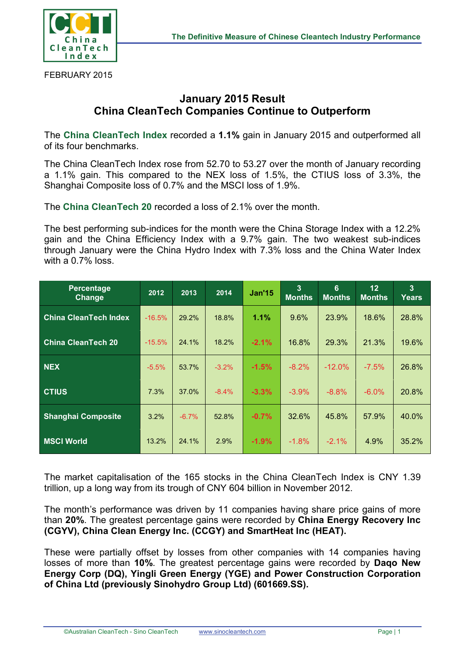

FEBRUARY 2015

## **January 2015 Result China CleanTech Companies Continue to Outperform**

The **China CleanTech Index** recorded a **1.1%** gain in January 2015 and outperformed all of its four benchmarks.

The China CleanTech Index rose from 52.70 to 53.27 over the month of January recording a 1.1% gain. This compared to the NEX loss of 1.5%, the CTIUS loss of 3.3%, the Shanghai Composite loss of 0.7% and the MSCI loss of 1.9%.

The **China CleanTech 20** recorded a loss of 2.1% over the month.

The best performing sub-indices for the month were the China Storage Index with a 12.2% gain and the China Efficiency Index with a 9.7% gain. The two weakest sub-indices through January were the China Hydro Index with 7.3% loss and the China Water Index with a 0.7% loss.

| <b>Percentage</b><br>Change  | 2012     | 2013     | 2014    | <b>Jan'15</b> | 3<br><b>Months</b> | 6<br><b>Months</b> | 12<br><b>Months</b> | 3<br>Years |
|------------------------------|----------|----------|---------|---------------|--------------------|--------------------|---------------------|------------|
| <b>China CleanTech Index</b> | $-16.5%$ | 29.2%    | 18.8%   | 1.1%          | 9.6%               | 23.9%              | 18.6%               | 28.8%      |
| <b>China CleanTech 20</b>    | $-15.5%$ | 24.1%    | 18.2%   | $-2.1%$       | 16.8%              | 29.3%              | 21.3%               | 19.6%      |
| <b>NEX</b>                   | $-5.5%$  | 53.7%    | $-3.2%$ | $-1.5%$       | $-8.2\%$           | $-12.0\%$          | $-7.5%$             | 26.8%      |
| <b>CTIUS</b>                 | 7.3%     | 37.0%    | $-8.4%$ | $-3.3%$       | $-3.9\%$           | $-8.8%$            | $-6.0\%$            | 20.8%      |
| <b>Shanghai Composite</b>    | 3.2%     | $-6.7\%$ | 52.8%   | $-0.7%$       | 32.6%              | 45.8%              | 57.9%               | 40.0%      |
| <b>MSCI World</b>            | 13.2%    | 24.1%    | 2.9%    | $-1.9%$       | $-1.8%$            | $-2.1\%$           | 4.9%                | 35.2%      |

The market capitalisation of the 165 stocks in the China CleanTech Index is CNY 1.39 trillion, up a long way from its trough of CNY 604 billion in November 2012.

The month's performance was driven by 11 companies having share price gains of more than **20%**. The greatest percentage gains were recorded by **China Energy Recovery Inc (CGYV), China Clean Energy Inc. (CCGY) and SmartHeat Inc (HEAT).**

These were partially offset by losses from other companies with 14 companies having losses of more than **10%**. The greatest percentage gains were recorded by **Daqo New Energy Corp (DQ), Yingli Green Energy (YGE) and Power Construction Corporation of China Ltd (previously Sinohydro Group Ltd) (601669.SS).**